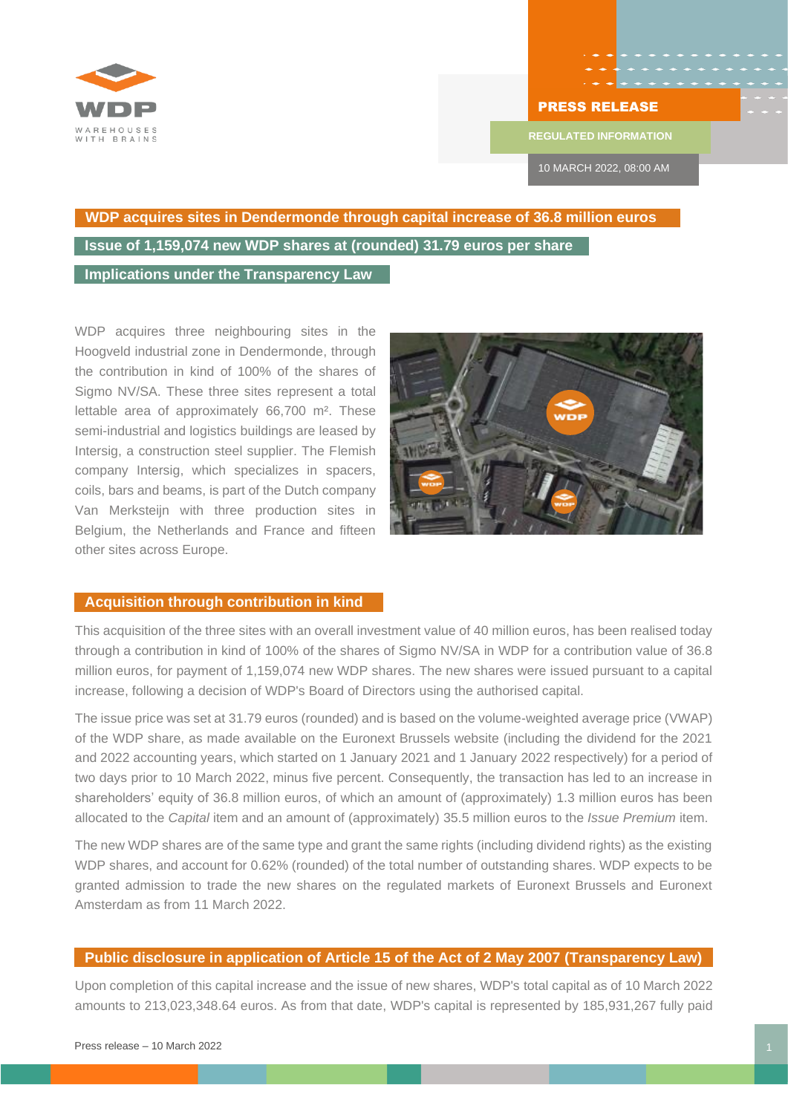

## PRESS RELEASE

**REGULATED INFORMATION**

10 MARCH 2022, 08:00 AM

## **WDP acquires sites in Dendermonde through capital increase of 36.8 million euros Issue of 1,159,074 new WDP shares at (rounded) 31.79 euros per share**

**Implications under the Transparency Law**

WDP acquires three neighbouring sites in the Hoogveld industrial zone in Dendermonde, through the contribution in kind of 100% of the shares of Sigmo NV/SA. These three sites represent a total lettable area of approximately 66,700 m². These semi-industrial and logistics buildings are leased by Intersig, a construction steel supplier. The Flemish company Intersig, which specializes in spacers, coils, bars and beams, is part of the Dutch company Van Merksteijn with three production sites in Belgium, the Netherlands and France and fifteen other sites across Europe.



## **Acquisition through contribution in kind**

This acquisition of the three sites with an overall investment value of 40 million euros, has been realised today through a contribution in kind of 100% of the shares of Sigmo NV/SA in WDP for a contribution value of 36.8 million euros, for payment of 1,159,074 new WDP shares. The new shares were issued pursuant to a capital increase, following a decision of WDP's Board of Directors using the authorised capital.

The issue price was set at 31.79 euros (rounded) and is based on the volume-weighted average price (VWAP) of the WDP share, as made available on the Euronext Brussels website (including the dividend for the 2021 and 2022 accounting years, which started on 1 January 2021 and 1 January 2022 respectively) for a period of two days prior to 10 March 2022, minus five percent. Consequently, the transaction has led to an increase in shareholders' equity of 36.8 million euros, of which an amount of (approximately) 1.3 million euros has been allocated to the *Capital* item and an amount of (approximately) 35.5 million euros to the *Issue Premium* item.

The new WDP shares are of the same type and grant the same rights (including dividend rights) as the existing WDP shares, and account for 0.62% (rounded) of the total number of outstanding shares. WDP expects to be granted admission to trade the new shares on the regulated markets of Euronext Brussels and Euronext Amsterdam as from 11 March 2022.

## **Public disclosure in application of Article 15 of the Act of 2 May 2007 (Transparency Law)**

Upon completion of this capital increase and the issue of new shares, WDP's total capital as of 10 March 2022 amounts to 213,023,348.64 euros. As from that date, WDP's capital is represented by 185,931,267 fully paid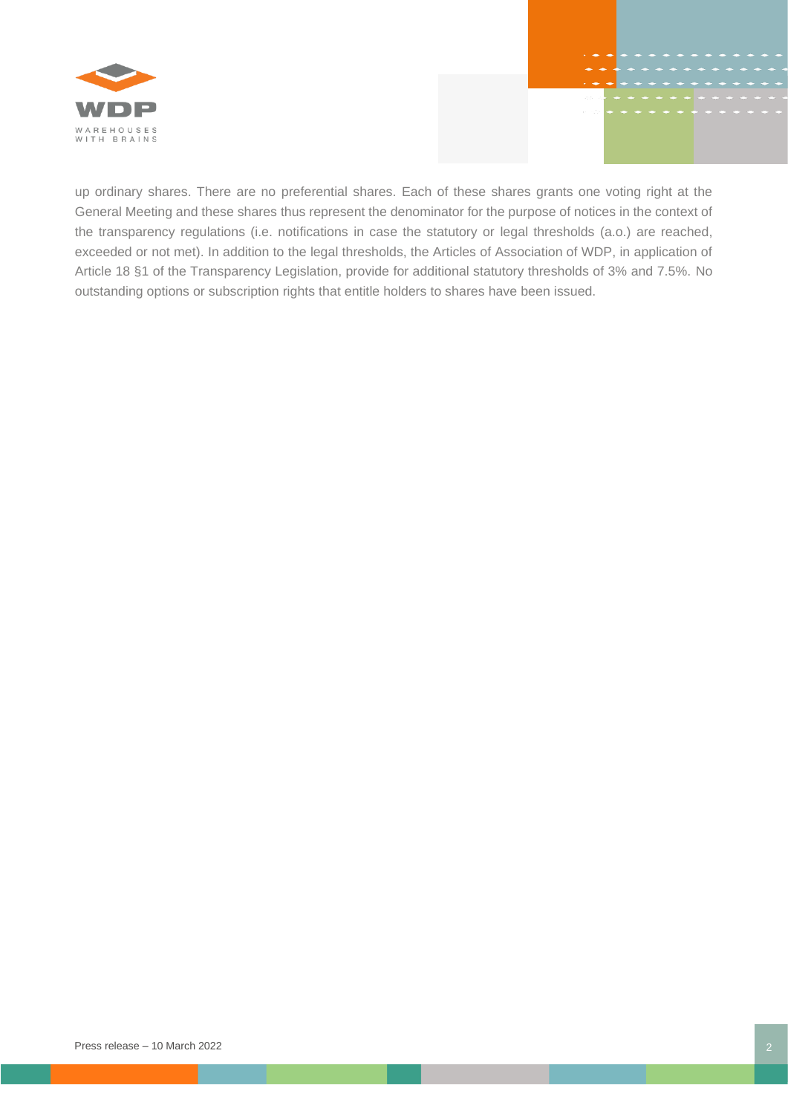

up ordinary shares. There are no preferential shares. Each of these shares grants one voting right at the General Meeting and these shares thus represent the denominator for the purpose of notices in the context of the transparency regulations (i.e. notifications in case the statutory or legal thresholds (a.o.) are reached, exceeded or not met). In addition to the legal thresholds, the Articles of Association of WDP, in application of Article 18 §1 of the Transparency Legislation, provide for additional statutory thresholds of 3% and 7.5%. No outstanding options or subscription rights that entitle holders to shares have been issued.